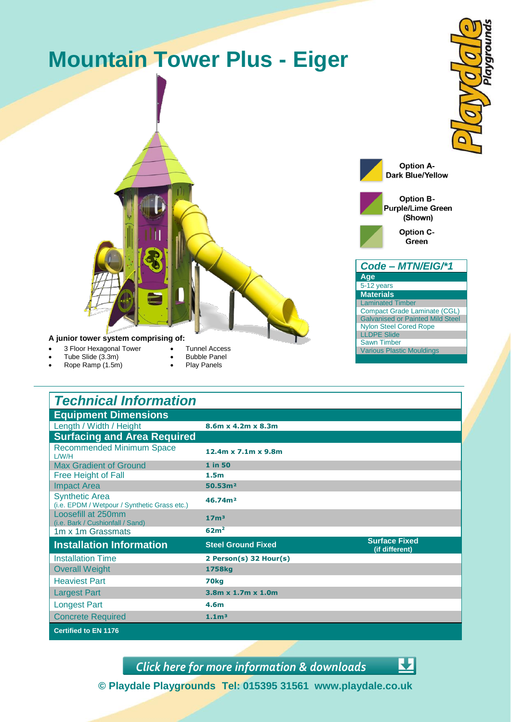

| <b>Technical Information</b>                                          |                                |                                        |
|-----------------------------------------------------------------------|--------------------------------|----------------------------------------|
| <b>Equipment Dimensions</b>                                           |                                |                                        |
| Length / Width / Height                                               | 8.6m x 4.2m x 8.3m             |                                        |
| <b>Surfacing and Area Required</b>                                    |                                |                                        |
| <b>Recommended Minimum Space</b><br>L/W/H                             | 12.4m x 7.1m x 9.8m            |                                        |
| <b>Max Gradient of Ground</b>                                         | 1 in 50                        |                                        |
| Free Height of Fall                                                   | 1.5 <sub>m</sub>               |                                        |
| <b>Impact Area</b>                                                    | 50.53 <sup>m2</sup>            |                                        |
| <b>Synthetic Area</b><br>(i.e. EPDM / Wetpour / Synthetic Grass etc.) | 46.74m <sup>2</sup>            |                                        |
| Loosefill at 250mm<br>(i.e. Bark / Cushionfall / Sand)                | 17 <sup>m3</sup>               |                                        |
| 1m x 1m Grassmats                                                     | 62m <sup>2</sup>               |                                        |
| <b>Installation Information</b>                                       | <b>Steel Ground Fixed</b>      | <b>Surface Fixed</b><br>(if different) |
| <b>Installation Time</b>                                              | 2 Person(s) 32 Hour(s)         |                                        |
| <b>Overall Weight</b>                                                 | 1758kg                         |                                        |
| <b>Heaviest Part</b>                                                  | 70 <sub>kg</sub>               |                                        |
| <b>Largest Part</b>                                                   | $3.8m \times 1.7m \times 1.0m$ |                                        |
| <b>Longest Part</b>                                                   | 4.6 <sub>m</sub>               |                                        |
| <b>Concrete Required</b>                                              | 1.1 <sup>m3</sup>              |                                        |
| <b>Certified to EN 1176</b>                                           |                                |                                        |

*[Click here for more information & downloads](http://www.playdale.co.uk/products/junior-play-equipment/mountain-tower-plus/eiger-plus/)*



**© Playdale Playgrounds Tel: 015395 31561 www.playdale.co.uk**